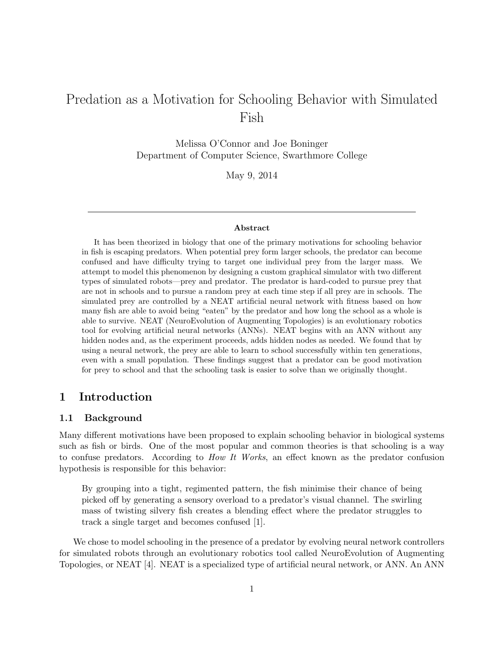# Predation as a Motivation for Schooling Behavior with Simulated Fish

Melissa O'Connor and Joe Boninger Department of Computer Science, Swarthmore College

May 9, 2014

#### Abstract

It has been theorized in biology that one of the primary motivations for schooling behavior in fish is escaping predators. When potential prey form larger schools, the predator can become confused and have difficulty trying to target one individual prey from the larger mass. We attempt to model this phenomenon by designing a custom graphical simulator with two different types of simulated robots—prey and predator. The predator is hard-coded to pursue prey that are not in schools and to pursue a random prey at each time step if all prey are in schools. The simulated prey are controlled by a NEAT artificial neural network with fitness based on how many fish are able to avoid being "eaten" by the predator and how long the school as a whole is able to survive. NEAT (NeuroEvolution of Augmenting Topologies) is an evolutionary robotics tool for evolving artificial neural networks (ANNs). NEAT begins with an ANN without any hidden nodes and, as the experiment proceeds, adds hidden nodes as needed. We found that by using a neural network, the prey are able to learn to school successfully within ten generations, even with a small population. These findings suggest that a predator can be good motivation for prey to school and that the schooling task is easier to solve than we originally thought.

# 1 Introduction

#### 1.1 Background

Many different motivations have been proposed to explain schooling behavior in biological systems such as fish or birds. One of the most popular and common theories is that schooling is a way to confuse predators. According to How It Works, an effect known as the predator confusion hypothesis is responsible for this behavior:

By grouping into a tight, regimented pattern, the fish minimise their chance of being picked off by generating a sensory overload to a predator's visual channel. The swirling mass of twisting silvery fish creates a blending effect where the predator struggles to track a single target and becomes confused [1].

We chose to model schooling in the presence of a predator by evolving neural network controllers for simulated robots through an evolutionary robotics tool called NeuroEvolution of Augmenting Topologies, or NEAT [4]. NEAT is a specialized type of artificial neural network, or ANN. An ANN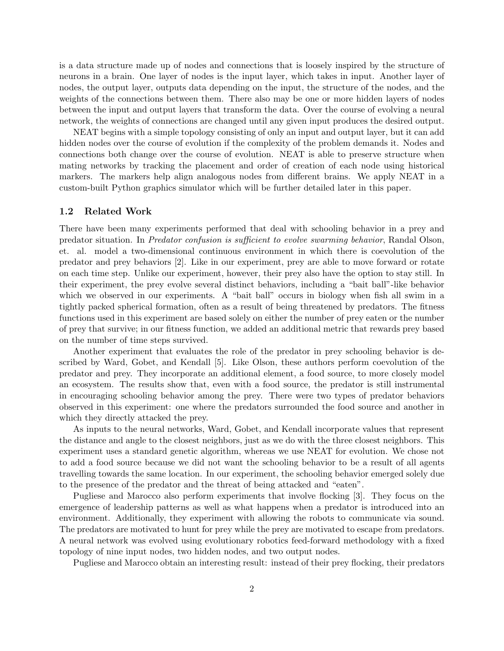is a data structure made up of nodes and connections that is loosely inspired by the structure of neurons in a brain. One layer of nodes is the input layer, which takes in input. Another layer of nodes, the output layer, outputs data depending on the input, the structure of the nodes, and the weights of the connections between them. There also may be one or more hidden layers of nodes between the input and output layers that transform the data. Over the course of evolving a neural network, the weights of connections are changed until any given input produces the desired output.

NEAT begins with a simple topology consisting of only an input and output layer, but it can add hidden nodes over the course of evolution if the complexity of the problem demands it. Nodes and connections both change over the course of evolution. NEAT is able to preserve structure when mating networks by tracking the placement and order of creation of each node using historical markers. The markers help align analogous nodes from different brains. We apply NEAT in a custom-built Python graphics simulator which will be further detailed later in this paper.

#### 1.2 Related Work

There have been many experiments performed that deal with schooling behavior in a prey and predator situation. In Predator confusion is sufficient to evolve swarming behavior, Randal Olson, et. al. model a two-dimensional continuous environment in which there is coevolution of the predator and prey behaviors [2]. Like in our experiment, prey are able to move forward or rotate on each time step. Unlike our experiment, however, their prey also have the option to stay still. In their experiment, the prey evolve several distinct behaviors, including a "bait ball"-like behavior which we observed in our experiments. A "bait ball" occurs in biology when fish all swim in a tightly packed spherical formation, often as a result of being threatened by predators. The fitness functions used in this experiment are based solely on either the number of prey eaten or the number of prey that survive; in our fitness function, we added an additional metric that rewards prey based on the number of time steps survived.

Another experiment that evaluates the role of the predator in prey schooling behavior is described by Ward, Gobet, and Kendall [5]. Like Olson, these authors perform coevolution of the predator and prey. They incorporate an additional element, a food source, to more closely model an ecosystem. The results show that, even with a food source, the predator is still instrumental in encouraging schooling behavior among the prey. There were two types of predator behaviors observed in this experiment: one where the predators surrounded the food source and another in which they directly attacked the prey.

As inputs to the neural networks, Ward, Gobet, and Kendall incorporate values that represent the distance and angle to the closest neighbors, just as we do with the three closest neighbors. This experiment uses a standard genetic algorithm, whereas we use NEAT for evolution. We chose not to add a food source because we did not want the schooling behavior to be a result of all agents travelling towards the same location. In our experiment, the schooling behavior emerged solely due to the presence of the predator and the threat of being attacked and "eaten".

Pugliese and Marocco also perform experiments that involve flocking [3]. They focus on the emergence of leadership patterns as well as what happens when a predator is introduced into an environment. Additionally, they experiment with allowing the robots to communicate via sound. The predators are motivated to hunt for prey while the prey are motivated to escape from predators. A neural network was evolved using evolutionary robotics feed-forward methodology with a fixed topology of nine input nodes, two hidden nodes, and two output nodes.

Pugliese and Marocco obtain an interesting result: instead of their prey flocking, their predators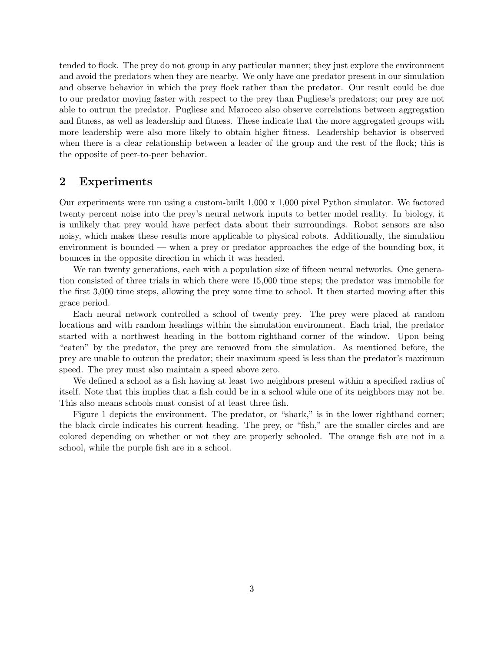tended to flock. The prey do not group in any particular manner; they just explore the environment and avoid the predators when they are nearby. We only have one predator present in our simulation and observe behavior in which the prey flock rather than the predator. Our result could be due to our predator moving faster with respect to the prey than Pugliese's predators; our prey are not able to outrun the predator. Pugliese and Marocco also observe correlations between aggregation and fitness, as well as leadership and fitness. These indicate that the more aggregated groups with more leadership were also more likely to obtain higher fitness. Leadership behavior is observed when there is a clear relationship between a leader of the group and the rest of the flock; this is the opposite of peer-to-peer behavior.

## 2 Experiments

Our experiments were run using a custom-built 1,000 x 1,000 pixel Python simulator. We factored twenty percent noise into the prey's neural network inputs to better model reality. In biology, it is unlikely that prey would have perfect data about their surroundings. Robot sensors are also noisy, which makes these results more applicable to physical robots. Additionally, the simulation environment is bounded — when a prey or predator approaches the edge of the bounding box, it bounces in the opposite direction in which it was headed.

We ran twenty generations, each with a population size of fifteen neural networks. One generation consisted of three trials in which there were 15,000 time steps; the predator was immobile for the first 3,000 time steps, allowing the prey some time to school. It then started moving after this grace period.

Each neural network controlled a school of twenty prey. The prey were placed at random locations and with random headings within the simulation environment. Each trial, the predator started with a northwest heading in the bottom-righthand corner of the window. Upon being "eaten" by the predator, the prey are removed from the simulation. As mentioned before, the prey are unable to outrun the predator; their maximum speed is less than the predator's maximum speed. The prey must also maintain a speed above zero.

We defined a school as a fish having at least two neighbors present within a specified radius of itself. Note that this implies that a fish could be in a school while one of its neighbors may not be. This also means schools must consist of at least three fish.

Figure 1 depicts the environment. The predator, or "shark," is in the lower righthand corner; the black circle indicates his current heading. The prey, or "fish," are the smaller circles and are colored depending on whether or not they are properly schooled. The orange fish are not in a school, while the purple fish are in a school.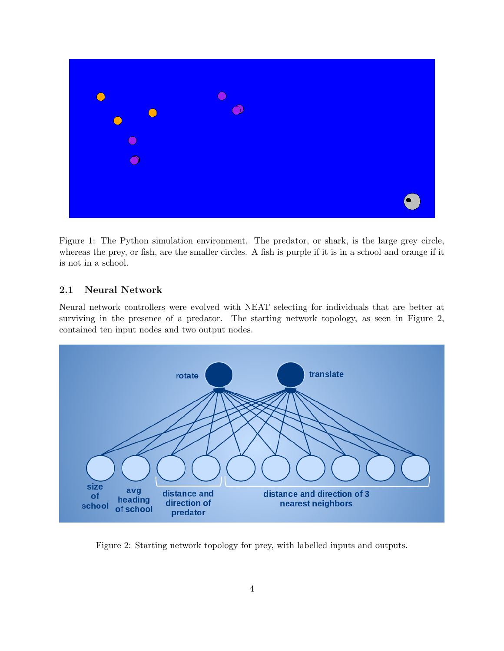

Figure 1: The Python simulation environment. The predator, or shark, is the large grey circle, whereas the prey, or fish, are the smaller circles. A fish is purple if it is in a school and orange if it is not in a school.

### 2.1 Neural Network

Neural network controllers were evolved with NEAT selecting for individuals that are better at surviving in the presence of a predator. The starting network topology, as seen in Figure 2, contained ten input nodes and two output nodes.



Figure 2: Starting network topology for prey, with labelled inputs and outputs.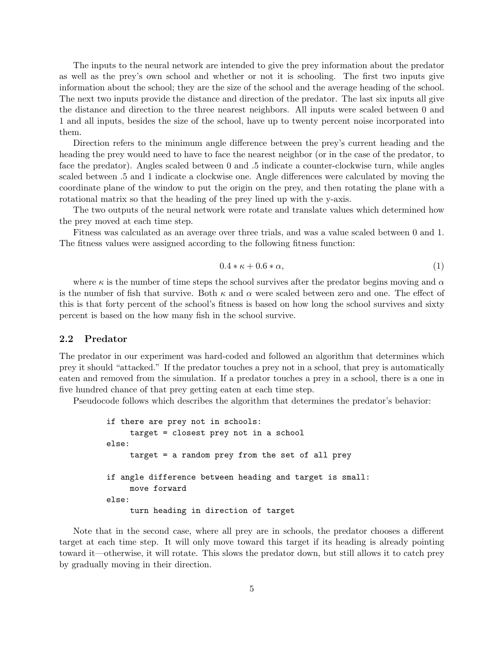The inputs to the neural network are intended to give the prey information about the predator as well as the prey's own school and whether or not it is schooling. The first two inputs give information about the school; they are the size of the school and the average heading of the school. The next two inputs provide the distance and direction of the predator. The last six inputs all give the distance and direction to the three nearest neighbors. All inputs were scaled between 0 and 1 and all inputs, besides the size of the school, have up to twenty percent noise incorporated into them.

Direction refers to the minimum angle difference between the prey's current heading and the heading the prey would need to have to face the nearest neighbor (or in the case of the predator, to face the predator). Angles scaled between 0 and .5 indicate a counter-clockwise turn, while angles scaled between .5 and 1 indicate a clockwise one. Angle differences were calculated by moving the coordinate plane of the window to put the origin on the prey, and then rotating the plane with a rotational matrix so that the heading of the prey lined up with the y-axis.

The two outputs of the neural network were rotate and translate values which determined how the prey moved at each time step.

Fitness was calculated as an average over three trials, and was a value scaled between 0 and 1. The fitness values were assigned according to the following fitness function:

$$
0.4 * \kappa + 0.6 * \alpha,\tag{1}
$$

where  $\kappa$  is the number of time steps the school survives after the predator begins moving and  $\alpha$ is the number of fish that survive. Both  $\kappa$  and  $\alpha$  were scaled between zero and one. The effect of this is that forty percent of the school's fitness is based on how long the school survives and sixty percent is based on the how many fish in the school survive.

#### 2.2 Predator

The predator in our experiment was hard-coded and followed an algorithm that determines which prey it should "attacked." If the predator touches a prey not in a school, that prey is automatically eaten and removed from the simulation. If a predator touches a prey in a school, there is a one in five hundred chance of that prey getting eaten at each time step.

Pseudocode follows which describes the algorithm that determines the predator's behavior:

```
if there are prey not in schools:
    target = closest prey not in a school
else:
    target = a random prey from the set of all prey
if angle difference between heading and target is small:
    move forward
else:
    turn heading in direction of target
```
Note that in the second case, where all prey are in schools, the predator chooses a different target at each time step. It will only move toward this target if its heading is already pointing toward it—otherwise, it will rotate. This slows the predator down, but still allows it to catch prey by gradually moving in their direction.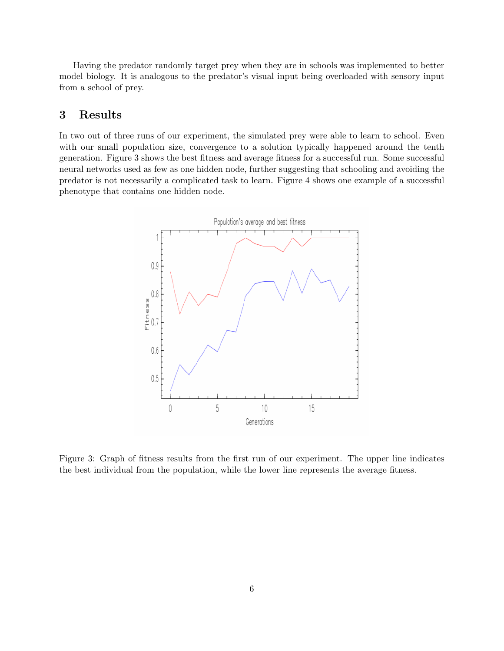Having the predator randomly target prey when they are in schools was implemented to better model biology. It is analogous to the predator's visual input being overloaded with sensory input from a school of prey.

# 3 Results

In two out of three runs of our experiment, the simulated prey were able to learn to school. Even with our small population size, convergence to a solution typically happened around the tenth generation. Figure 3 shows the best fitness and average fitness for a successful run. Some successful neural networks used as few as one hidden node, further suggesting that schooling and avoiding the predator is not necessarily a complicated task to learn. Figure 4 shows one example of a successful phenotype that contains one hidden node.



Figure 3: Graph of fitness results from the first run of our experiment. The upper line indicates the best individual from the population, while the lower line represents the average fitness.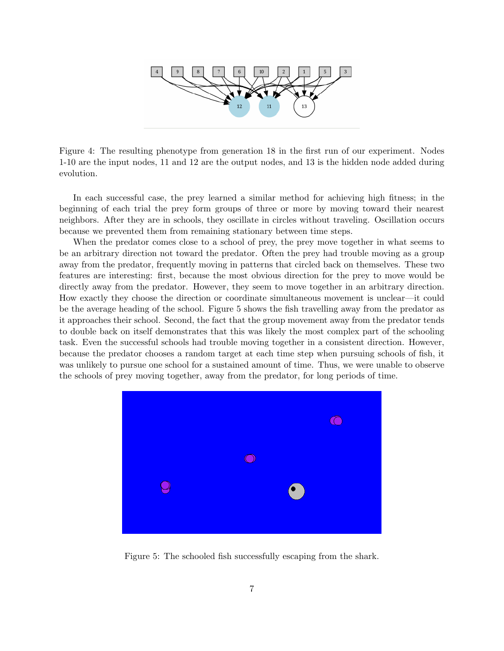

Figure 4: The resulting phenotype from generation 18 in the first run of our experiment. Nodes 1-10 are the input nodes, 11 and 12 are the output nodes, and 13 is the hidden node added during evolution.

In each successful case, the prey learned a similar method for achieving high fitness; in the beginning of each trial the prey form groups of three or more by moving toward their nearest neighbors. After they are in schools, they oscillate in circles without traveling. Oscillation occurs because we prevented them from remaining stationary between time steps.

When the predator comes close to a school of prey, the prey move together in what seems to be an arbitrary direction not toward the predator. Often the prey had trouble moving as a group away from the predator, frequently moving in patterns that circled back on themselves. These two features are interesting: first, because the most obvious direction for the prey to move would be directly away from the predator. However, they seem to move together in an arbitrary direction. How exactly they choose the direction or coordinate simultaneous movement is unclear—it could be the average heading of the school. Figure 5 shows the fish travelling away from the predator as it approaches their school. Second, the fact that the group movement away from the predator tends to double back on itself demonstrates that this was likely the most complex part of the schooling task. Even the successful schools had trouble moving together in a consistent direction. However, because the predator chooses a random target at each time step when pursuing schools of fish, it was unlikely to pursue one school for a sustained amount of time. Thus, we were unable to observe the schools of prey moving together, away from the predator, for long periods of time.



Figure 5: The schooled fish successfully escaping from the shark.